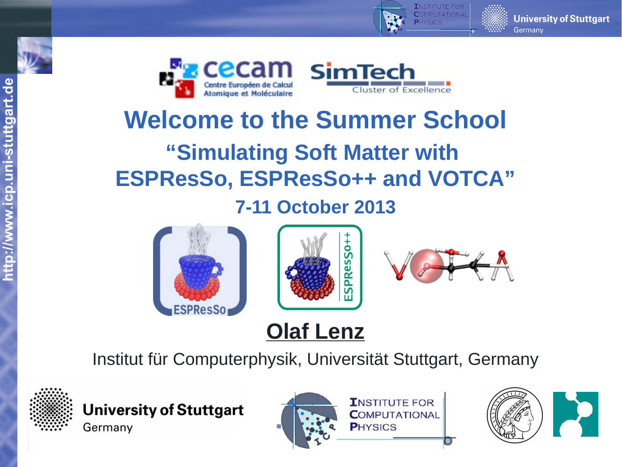





# **Welcome to the Summer School**

# **"Simulating Soft Matter with ESPResSo, ESPResSo++ and VOTCA"**

## **7-11 October 2013**







## **Olaf Lenz**

Institut für Computerphysik, Universität Stuttgart, Germany



**University of Stuttgart** Germany





**University of Stuttgart**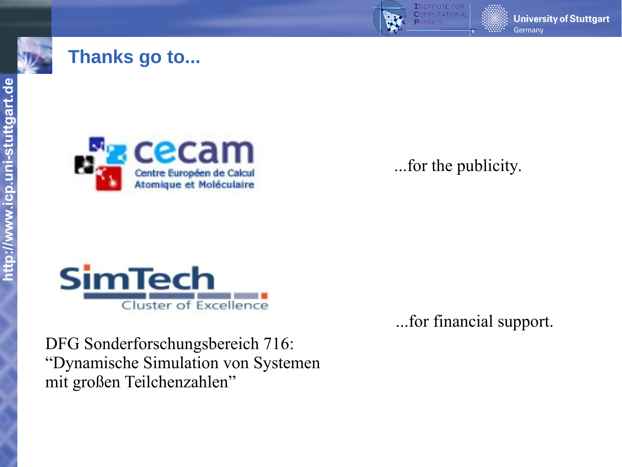

### **Thanks go to...**



...for the publicity.



...for financial support.

DFG Sonderforschungsbereich 716: "Dynamische Simulation von Systemen mit großen Teilchenzahlen"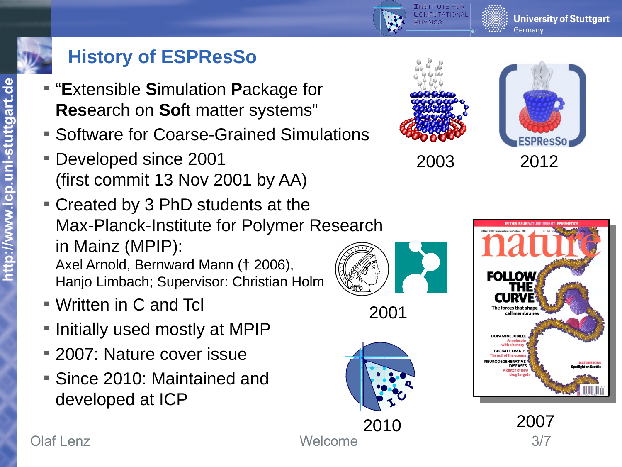

**http://**

**ww**

**w.ic**

**p.u**

**ni-**

**stuttg**

**art.d**

## **History of ESPResSo**

- "**E**xtensible **S**imulation **P**ackage for **Res**earch on **So**ft matter systems"
- **Software for Coarse-Grained Simulations**
- Developed since 2001 (first commit 13 Nov 2001 by AA)
- Created by 3 PhD students at the Max-Planck-Institute for Polymer Research in Mainz (MPIP): Axel Arnold, Bernward Mann († 2006), Hanjo Limbach; Supervisor: Christian Holm
- Written in C and Tcl
- **Initially used mostly at MPIP**
- 2007: Nature cover issue
- Since 2010: Maintained and developed at ICP





**University of Stuttgart** 

Germany



#### Olaf Lenz 3/7

2001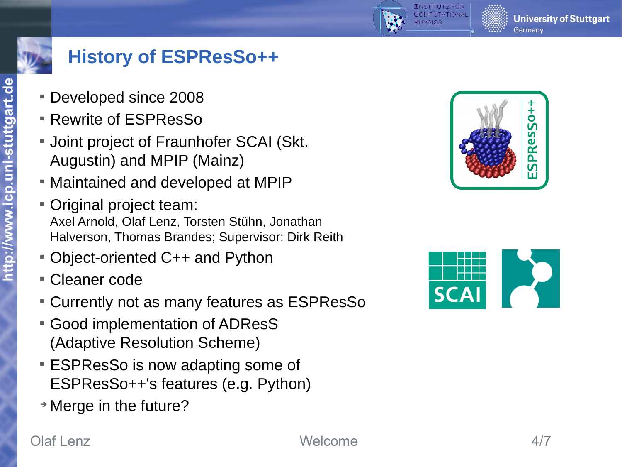

## **History of ESPResSo++**

- Developed since 2008
- Rewrite of ESPResSo
- **Joint project of Fraunhofer SCAI (Skt.** Augustin) and MPIP (Mainz)
- Maintained and developed at MPIP
- Original project team: Axel Arnold, Olaf Lenz, Torsten Stühn, Jonathan Halverson, Thomas Brandes; Supervisor: Dirk Reith
- Object-oriented C++ and Python
- Cleaner code
- Currently not as many features as ESPResSo
- Good implementation of ADResS (Adaptive Resolution Scheme)
- **ESPResSo is now adapting some of** ESPResSo++'s features (e.g. Python)
- ➔ Merge in the future?



**University of Stuttgart** 

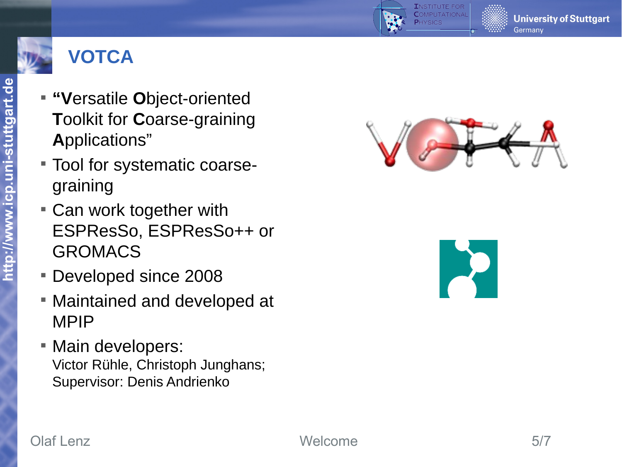



- **" V**ersatile **O**bject-oriented **T**oolkit for **C**oarse-graining **A**pplications"
- Tool for systematic coarsegraining
- Can work together with ESPResSo, ESPResSo++ or GROMACS
- Developed since 2008
- Maintained and developed at MPIP
- **Main developers:** Victor Rühle, Christoph Junghans; Supervisor: Denis Andrienko



**University of Stuttgart**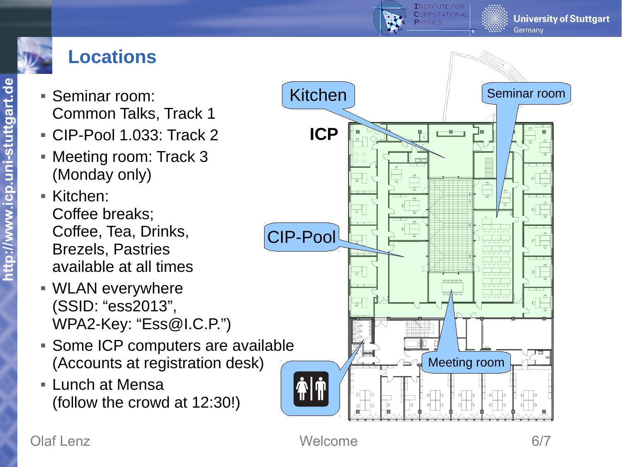

## **Locations**

- **Seminar room:** Common Talks, Track 1
- CIP-Pool 1.033: Track 2
- Meeting room: Track 3 (Monday only)
- Kitchen: Coffee breaks; Coffee, Tea, Drinks, Brezels, Pastries available at all times
- WLAN everywhere (SSID: "ess2013", WPA2-Key: "Ess@I.C.P.")
- **Some ICP computers are available** (Accounts at registration desk)
- **Lunch at Mensa** (follow the crowd at 12:30!)



**TNSTITUTE FOR COMPUTATIONA** 

#### Olaf Lenz 6/7

**University of Stuttgart**